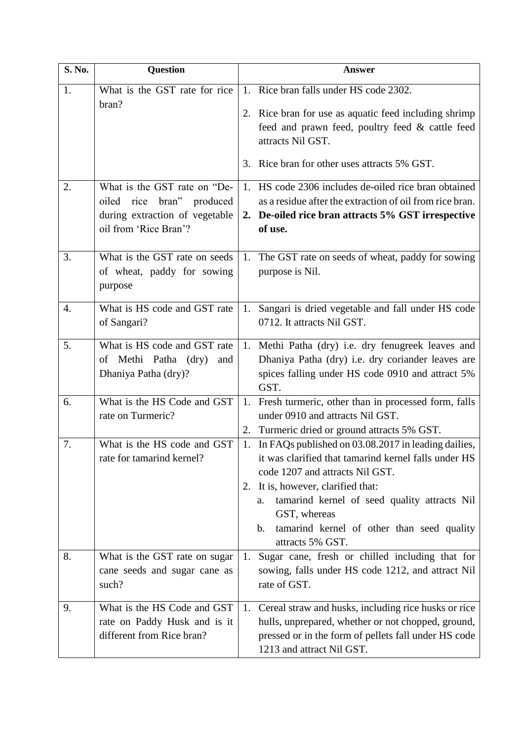| S. No.           | <b>Question</b>                                                                                                            | <b>Answer</b>                                                                                                                                                                                                                                                                                                                                           |  |
|------------------|----------------------------------------------------------------------------------------------------------------------------|---------------------------------------------------------------------------------------------------------------------------------------------------------------------------------------------------------------------------------------------------------------------------------------------------------------------------------------------------------|--|
| 1.               | What is the GST rate for rice<br>bran?                                                                                     | 1. Rice bran falls under HS code 2302.<br>2. Rice bran for use as aquatic feed including shrimp<br>feed and prawn feed, poultry feed & cattle feed<br>attracts Nil GST.<br>3. Rice bran for other uses attracts 5% GST.                                                                                                                                 |  |
|                  |                                                                                                                            | 1. HS code 2306 includes de-oiled rice bran obtained                                                                                                                                                                                                                                                                                                    |  |
| 2.               | What is the GST rate on "De-<br>rice<br>bran" produced<br>oiled<br>during extraction of vegetable<br>oil from 'Rice Bran'? | as a residue after the extraction of oil from rice bran.<br>2. De-oiled rice bran attracts 5% GST irrespective<br>of use.                                                                                                                                                                                                                               |  |
| 3.               | What is the GST rate on seeds<br>of wheat, paddy for sowing<br>purpose                                                     | The GST rate on seeds of wheat, paddy for sowing<br>1.<br>purpose is Nil.                                                                                                                                                                                                                                                                               |  |
| $\overline{4}$ . | What is HS code and GST rate<br>of Sangari?                                                                                | Sangari is dried vegetable and fall under HS code<br>1.<br>0712. It attracts Nil GST.                                                                                                                                                                                                                                                                   |  |
| 5.               | What is HS code and GST rate<br>of Methi Patha (dry)<br>and<br>Dhaniya Patha (dry)?                                        | 1. Methi Patha (dry) i.e. dry fenugreek leaves and<br>Dhaniya Patha (dry) i.e. dry coriander leaves are<br>spices falling under HS code 0910 and attract 5%<br>GST.                                                                                                                                                                                     |  |
| 6.               | What is the HS Code and GST<br>rate on Turmeric?                                                                           | Fresh turmeric, other than in processed form, falls<br>1.<br>under 0910 and attracts Nil GST.<br>Turmeric dried or ground attracts 5% GST.<br>2.                                                                                                                                                                                                        |  |
| 7.               | What is the HS code and GST<br>rate for tamarind kernel?                                                                   | In FAQs published on 03.08.2017 in leading dailies,<br>1.<br>it was clarified that tamarind kernel falls under HS<br>code 1207 and attracts Nil GST.<br>It is, however, clarified that:<br>2.<br>tamarind kernel of seed quality attracts Nil<br>a.<br>GST, whereas<br>tamarind kernel of other than seed quality<br>$\mathbf{b}$ .<br>attracts 5% GST. |  |
| 8.               | What is the GST rate on sugar<br>cane seeds and sugar cane as<br>such?                                                     | Sugar cane, fresh or chilled including that for<br>1.<br>sowing, falls under HS code 1212, and attract Nil<br>rate of GST.                                                                                                                                                                                                                              |  |
| 9.               | What is the HS Code and GST<br>rate on Paddy Husk and is it<br>different from Rice bran?                                   | 1. Cereal straw and husks, including rice husks or rice<br>hulls, unprepared, whether or not chopped, ground,<br>pressed or in the form of pellets fall under HS code<br>1213 and attract Nil GST.                                                                                                                                                      |  |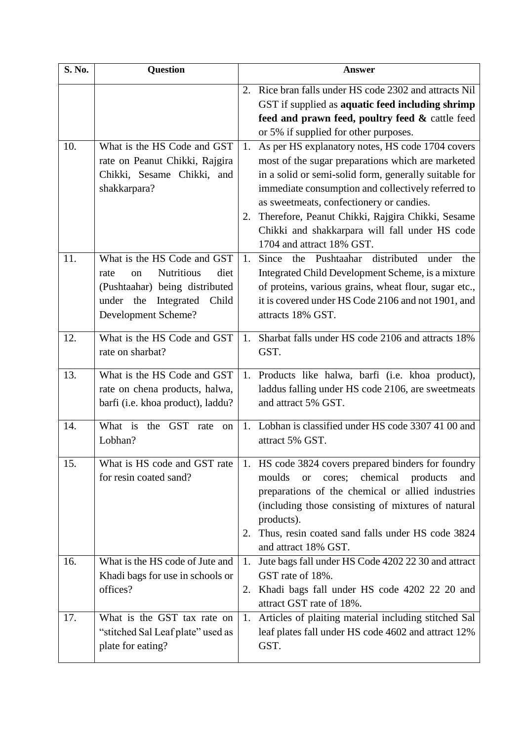| S. No. | <b>Question</b>                                                                                                                                                     | <b>Answer</b>                                                                                                                                                                                                                                                                                                                                                                                                   |  |
|--------|---------------------------------------------------------------------------------------------------------------------------------------------------------------------|-----------------------------------------------------------------------------------------------------------------------------------------------------------------------------------------------------------------------------------------------------------------------------------------------------------------------------------------------------------------------------------------------------------------|--|
|        |                                                                                                                                                                     | Rice bran falls under HS code 2302 and attracts Nil<br>2.<br>GST if supplied as aquatic feed including shrimp<br>feed and prawn feed, poultry feed & cattle feed<br>or 5% if supplied for other purposes.                                                                                                                                                                                                       |  |
| 10.    | What is the HS Code and GST<br>rate on Peanut Chikki, Rajgira<br>Chikki, Sesame Chikki, and<br>shakkarpara?                                                         | As per HS explanatory notes, HS code 1704 covers<br>1.<br>most of the sugar preparations which are marketed<br>in a solid or semi-solid form, generally suitable for<br>immediate consumption and collectively referred to<br>as sweetmeats, confectionery or candies.<br>Therefore, Peanut Chikki, Rajgira Chikki, Sesame<br>2.<br>Chikki and shakkarpara will fall under HS code<br>1704 and attract 18% GST. |  |
| 11.    | What is the HS Code and GST<br><b>Nutritious</b><br>diet<br>on<br>rate<br>(Pushtaahar) being distributed<br>under the<br>Integrated<br>Child<br>Development Scheme? | Since<br>the Pushtaahar distributed<br>1.<br>under<br>the<br>Integrated Child Development Scheme, is a mixture<br>of proteins, various grains, wheat flour, sugar etc.,<br>it is covered under HS Code 2106 and not 1901, and<br>attracts 18% GST.                                                                                                                                                              |  |
| 12.    | What is the HS Code and GST<br>rate on sharbat?                                                                                                                     | Sharbat falls under HS code 2106 and attracts 18%<br>1.<br>GST.                                                                                                                                                                                                                                                                                                                                                 |  |
| 13.    | What is the HS Code and GST<br>rate on chena products, halwa,<br>barfi (i.e. khoa product), laddu?                                                                  | Products like halwa, barfi (i.e. khoa product),<br>1.<br>laddus falling under HS code 2106, are sweetmeats<br>and attract 5% GST.                                                                                                                                                                                                                                                                               |  |
| 14.    | What is<br>the GST<br>rate<br><sub>on</sub><br>Lobhan?                                                                                                              | Lobhan is classified under HS code 3307 41 00 and<br>$1_{-}$<br>attract 5% GST.                                                                                                                                                                                                                                                                                                                                 |  |
| 15.    | What is HS code and GST rate<br>for resin coated sand?                                                                                                              | 1. HS code 3824 covers prepared binders for foundry<br>chemical<br>moulds<br>cores;<br>products<br><b>or</b><br>and<br>preparations of the chemical or allied industries<br>(including those consisting of mixtures of natural<br>products).<br>Thus, resin coated sand falls under HS code 3824<br>2.<br>and attract 18% GST.                                                                                  |  |
| 16.    | What is the HS code of Jute and<br>Khadi bags for use in schools or<br>offices?                                                                                     | Jute bags fall under HS Code 4202 22 30 and attract<br>1.<br>GST rate of 18%.<br>Khadi bags fall under HS code 4202 22 20 and<br>2.<br>attract GST rate of 18%.                                                                                                                                                                                                                                                 |  |
| 17.    | What is the GST tax rate on<br>"stitched Sal Leaf plate" used as<br>plate for eating?                                                                               | 1. Articles of plaiting material including stitched Sal<br>leaf plates fall under HS code 4602 and attract 12%<br>GST.                                                                                                                                                                                                                                                                                          |  |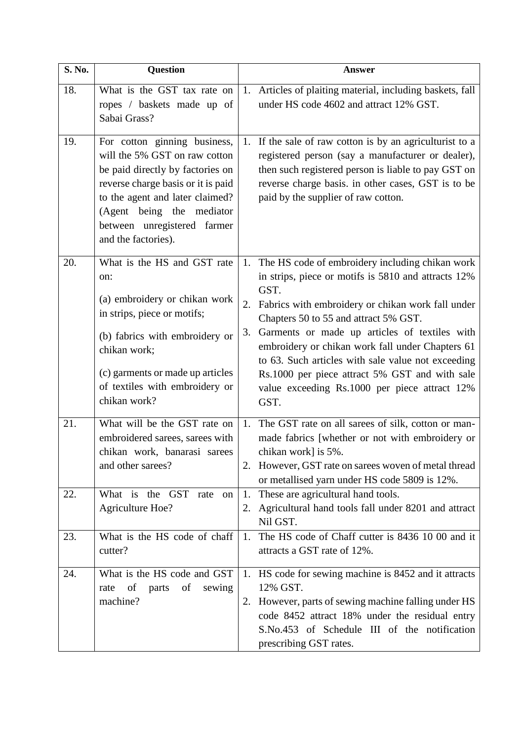| S. No. | <b>Question</b>                                                                                                                                                                                                                                               |    | <b>Answer</b>                                                                                                                                                                                                                                                                                                                                                                                                                                                                            |
|--------|---------------------------------------------------------------------------------------------------------------------------------------------------------------------------------------------------------------------------------------------------------------|----|------------------------------------------------------------------------------------------------------------------------------------------------------------------------------------------------------------------------------------------------------------------------------------------------------------------------------------------------------------------------------------------------------------------------------------------------------------------------------------------|
| 18.    | What is the GST tax rate on<br>ropes / baskets made up of<br>Sabai Grass?                                                                                                                                                                                     |    | 1. Articles of plaiting material, including baskets, fall<br>under HS code 4602 and attract 12% GST.                                                                                                                                                                                                                                                                                                                                                                                     |
| 19.    | For cotton ginning business,<br>will the 5% GST on raw cotton<br>be paid directly by factories on<br>reverse charge basis or it is paid<br>to the agent and later claimed?<br>(Agent being the mediator<br>between unregistered farmer<br>and the factories). | 1. | If the sale of raw cotton is by an agriculturist to a<br>registered person (say a manufacturer or dealer),<br>then such registered person is liable to pay GST on<br>reverse charge basis. in other cases, GST is to be<br>paid by the supplier of raw cotton.                                                                                                                                                                                                                           |
| 20.    | What is the HS and GST rate<br>on:<br>(a) embroidery or chikan work<br>in strips, piece or motifs;<br>(b) fabrics with embroidery or<br>chikan work;<br>(c) garments or made up articles<br>of textiles with embroidery or<br>chikan work?                    | 3. | 1. The HS code of embroidery including chikan work<br>in strips, piece or motifs is 5810 and attracts 12%<br>GST.<br>2. Fabrics with embroidery or chikan work fall under<br>Chapters 50 to 55 and attract 5% GST.<br>Garments or made up articles of textiles with<br>embroidery or chikan work fall under Chapters 61<br>to 63. Such articles with sale value not exceeding<br>Rs.1000 per piece attract 5% GST and with sale<br>value exceeding Rs.1000 per piece attract 12%<br>GST. |
| 21.    | What will be the GST rate on<br>embroidered sarees, sarees with<br>chikan work, banarasi sarees<br>and other sarees?                                                                                                                                          | 1. | The GST rate on all sarees of silk, cotton or man-<br>made fabrics [whether or not with embroidery or<br>chikan work] is 5%.<br>2. However, GST rate on sarees woven of metal thread<br>or metallised yarn under HS code 5809 is 12%.                                                                                                                                                                                                                                                    |
| 22.    | What is the GST<br>rate<br>on<br><b>Agriculture Hoe?</b>                                                                                                                                                                                                      | 1. | These are agricultural hand tools.<br>2. Agricultural hand tools fall under 8201 and attract<br>Nil GST.                                                                                                                                                                                                                                                                                                                                                                                 |
| 23.    | What is the HS code of chaff<br>cutter?                                                                                                                                                                                                                       | 1. | The HS code of Chaff cutter is 8436 10 00 and it<br>attracts a GST rate of 12%.                                                                                                                                                                                                                                                                                                                                                                                                          |
| 24.    | What is the HS code and GST<br>rate of<br>parts of<br>sewing<br>machine?                                                                                                                                                                                      |    | 1. HS code for sewing machine is 8452 and it attracts<br>12% GST.<br>2. However, parts of sewing machine falling under HS<br>code 8452 attract 18% under the residual entry<br>S.No.453 of Schedule III of the notification<br>prescribing GST rates.                                                                                                                                                                                                                                    |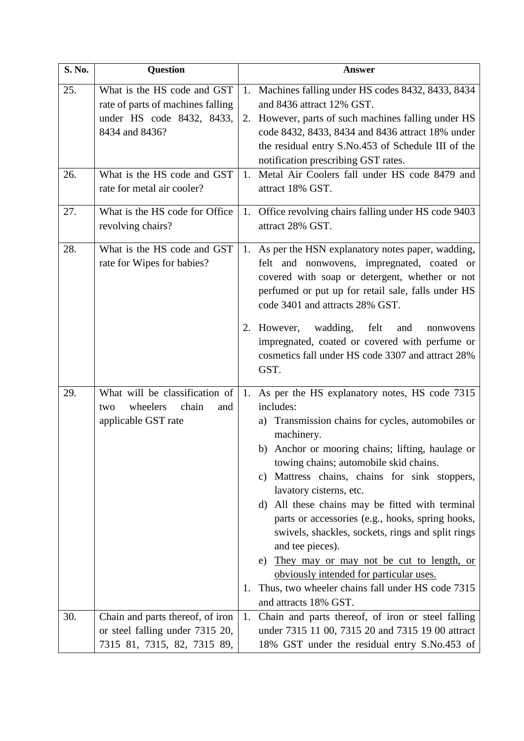| S. No. | <b>Question</b>                                                                                                 |    | <b>Answer</b>                                                                                                                                                                                                                                                                                                                                                                                                                                                                                                                                                                                                                                                           |
|--------|-----------------------------------------------------------------------------------------------------------------|----|-------------------------------------------------------------------------------------------------------------------------------------------------------------------------------------------------------------------------------------------------------------------------------------------------------------------------------------------------------------------------------------------------------------------------------------------------------------------------------------------------------------------------------------------------------------------------------------------------------------------------------------------------------------------------|
| 25.    | What is the HS code and GST<br>rate of parts of machines falling<br>under HS code 8432, 8433,<br>8434 and 8436? |    | 1. Machines falling under HS codes 8432, 8433, 8434<br>and 8436 attract 12% GST.<br>2. However, parts of such machines falling under HS<br>code 8432, 8433, 8434 and 8436 attract 18% under<br>the residual entry S.No.453 of Schedule III of the<br>notification prescribing GST rates.                                                                                                                                                                                                                                                                                                                                                                                |
| 26.    | What is the HS code and GST<br>rate for metal air cooler?                                                       | 1. | Metal Air Coolers fall under HS code 8479 and<br>attract 18% GST.                                                                                                                                                                                                                                                                                                                                                                                                                                                                                                                                                                                                       |
| 27.    | What is the HS code for Office<br>revolving chairs?                                                             |    | 1. Office revolving chairs falling under HS code 9403<br>attract 28% GST.                                                                                                                                                                                                                                                                                                                                                                                                                                                                                                                                                                                               |
| 28.    | What is the HS code and GST<br>rate for Wipes for babies?                                                       |    | 1. As per the HSN explanatory notes paper, wadding,<br>felt and nonwovens, impregnated, coated or<br>covered with soap or detergent, whether or not<br>perfumed or put up for retail sale, falls under HS<br>code 3401 and attracts 28% GST.                                                                                                                                                                                                                                                                                                                                                                                                                            |
|        |                                                                                                                 |    | 2. However, wadding,<br>felt<br>and<br>nonwovens<br>impregnated, coated or covered with perfume or<br>cosmetics fall under HS code 3307 and attract 28%<br>GST.                                                                                                                                                                                                                                                                                                                                                                                                                                                                                                         |
| 29.    | What will be classification of<br>wheelers<br>chain<br>and<br>two<br>applicable GST rate                        | 1. | 1. As per the HS explanatory notes, HS code 7315<br>includes:<br>a) Transmission chains for cycles, automobiles or<br>machinery.<br>b) Anchor or mooring chains; lifting, haulage or<br>towing chains; automobile skid chains.<br>Mattress chains, chains for sink stoppers,<br>C)<br>lavatory cisterns, etc.<br>d) All these chains may be fitted with terminal<br>parts or accessories (e.g., hooks, spring hooks,<br>swivels, shackles, sockets, rings and split rings<br>and tee pieces).<br>They may or may not be cut to length, or<br>e)<br>obviously intended for particular uses.<br>Thus, two wheeler chains fall under HS code 7315<br>and attracts 18% GST. |
| 30.    | Chain and parts thereof, of iron<br>or steel falling under 7315 20,<br>7315 81, 7315, 82, 7315 89,              | 1. | Chain and parts thereof, of iron or steel falling<br>under 7315 11 00, 7315 20 and 7315 19 00 attract<br>18% GST under the residual entry S.No.453 of                                                                                                                                                                                                                                                                                                                                                                                                                                                                                                                   |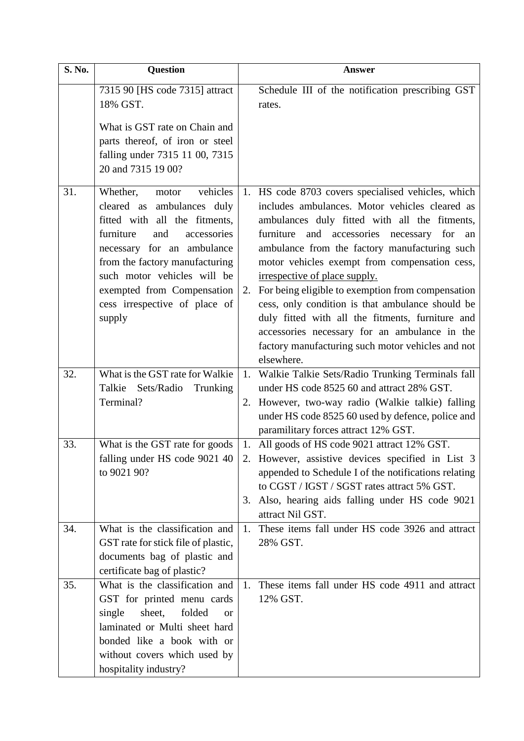| S. No. | <b>Question</b>                                                                                                                                                                                                                                                                                         | <b>Answer</b>                                                                                                                                                                                                                                                                                                                                                                                                                                                                                                                                                                                                                 |
|--------|---------------------------------------------------------------------------------------------------------------------------------------------------------------------------------------------------------------------------------------------------------------------------------------------------------|-------------------------------------------------------------------------------------------------------------------------------------------------------------------------------------------------------------------------------------------------------------------------------------------------------------------------------------------------------------------------------------------------------------------------------------------------------------------------------------------------------------------------------------------------------------------------------------------------------------------------------|
|        | 7315 90 [HS code 7315] attract<br>18% GST.                                                                                                                                                                                                                                                              | Schedule III of the notification prescribing GST<br>rates.                                                                                                                                                                                                                                                                                                                                                                                                                                                                                                                                                                    |
|        | What is GST rate on Chain and<br>parts thereof, of iron or steel<br>falling under 7315 11 00, 7315<br>20 and 7315 19 00?                                                                                                                                                                                |                                                                                                                                                                                                                                                                                                                                                                                                                                                                                                                                                                                                                               |
| 31.    | vehicles<br>Whether,<br>motor<br>cleared as ambulances duly<br>fitted with all the fitments,<br>furniture<br>and<br>accessories<br>necessary for an ambulance<br>from the factory manufacturing<br>such motor vehicles will be<br>exempted from Compensation<br>cess irrespective of place of<br>supply | 1. HS code 8703 covers specialised vehicles, which<br>includes ambulances. Motor vehicles cleared as<br>ambulances duly fitted with all the fitments,<br>furniture and accessories necessary for<br>an<br>ambulance from the factory manufacturing such<br>motor vehicles exempt from compensation cess,<br>irrespective of place supply.<br>2. For being eligible to exemption from compensation<br>cess, only condition is that ambulance should be<br>duly fitted with all the fitments, furniture and<br>accessories necessary for an ambulance in the<br>factory manufacturing such motor vehicles and not<br>elsewhere. |
| 32.    | What is the GST rate for Walkie<br>Talkie Sets/Radio Trunking<br>Terminal?                                                                                                                                                                                                                              | 1. Walkie Talkie Sets/Radio Trunking Terminals fall<br>under HS code 8525 60 and attract 28% GST.<br>2. However, two-way radio (Walkie talkie) falling<br>under HS code 8525 60 used by defence, police and<br>paramilitary forces attract 12% GST.                                                                                                                                                                                                                                                                                                                                                                           |
| 33.    | What is the GST rate for goods<br>falling under HS code 9021 40<br>to 9021 90?                                                                                                                                                                                                                          | 1. All goods of HS code 9021 attract 12% GST.<br>2. However, assistive devices specified in List 3<br>appended to Schedule I of the notifications relating<br>to CGST / IGST / SGST rates attract 5% GST.<br>Also, hearing aids falling under HS code 9021<br>3.<br>attract Nil GST.                                                                                                                                                                                                                                                                                                                                          |
| 34.    | What is the classification and<br>GST rate for stick file of plastic,<br>documents bag of plastic and<br>certificate bag of plastic?                                                                                                                                                                    | These items fall under HS code 3926 and attract<br>1.<br>28% GST.                                                                                                                                                                                                                                                                                                                                                                                                                                                                                                                                                             |
| 35.    | What is the classification and<br>GST for printed menu cards<br>sheet,<br>folded<br>single<br><b>or</b><br>laminated or Multi sheet hard<br>bonded like a book with or<br>without covers which used by<br>hospitality industry?                                                                         | 1. These items fall under HS code 4911 and attract<br>12% GST.                                                                                                                                                                                                                                                                                                                                                                                                                                                                                                                                                                |